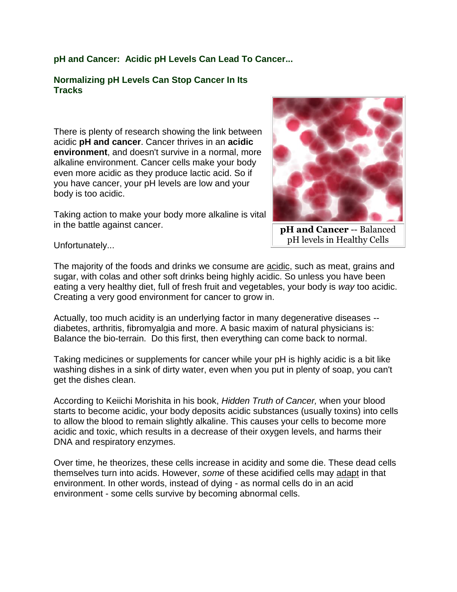## **pH and Cancer: Acidic pH Levels Can Lead To Cancer...**

#### **Normalizing pH Levels Can Stop Cancer In Its Tracks**

There is plenty of research showing the link between acidic **pH and cancer**. Cancer thrives in an **acidic environment**, and doesn't survive in a normal, more alkaline environment. Cancer cells make your body even more acidic as they produce lactic acid. So if you have cancer, your pH levels are low and your body is too acidic.

Taking action to make your body more alkaline is vital in the battle against cancer.



**pH and Cancer** -- Balanced pH levels in Healthy Cells

Unfortunately...

The majority of the foods and drinks we consume are acidic, such as meat, grains and sugar, with colas and other soft drinks being highly acidic. So unless you have been eating a very healthy diet, full of fresh fruit and vegetables, your body is *way* too acidic. Creating a very good environment for cancer to grow in.

Actually, too much acidity is an underlying factor in many degenerative diseases - diabetes, arthritis, fibromyalgia and more. A basic maxim of natural physicians is: Balance the bio-terrain. Do this first, then everything can come back to normal.

Taking medicines or supplements for cancer while your pH is highly acidic is a bit like washing dishes in a sink of dirty water, even when you put in plenty of soap, you can't get the dishes clean.

According to Keiichi Morishita in his book, *Hidden Truth of Cancer,* when your blood starts to become acidic, your body deposits acidic substances (usually toxins) into cells to allow the blood to remain slightly alkaline. This causes your cells to become more acidic and toxic, which results in a decrease of their oxygen levels, and harms their DNA and respiratory enzymes.

Over time, he theorizes, these cells increase in acidity and some die. These dead cells themselves turn into acids. However, *some* of these acidified cells may adapt in that environment. In other words, instead of dying - as normal cells do in an acid environment - some cells survive by becoming abnormal cells.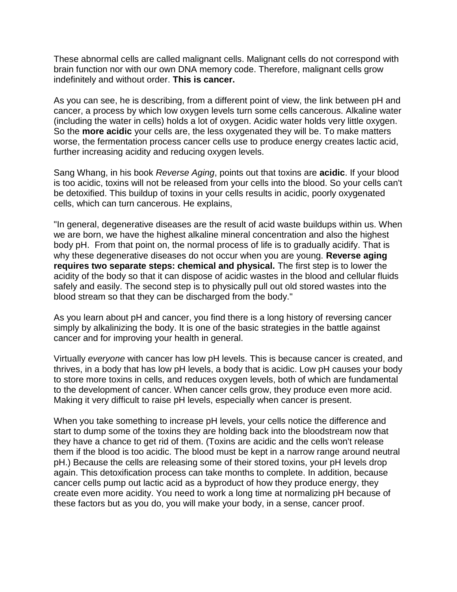These abnormal cells are called malignant cells. Malignant cells do not correspond with brain function nor with our own DNA memory code. Therefore, malignant cells grow indefinitely and without order. **This is cancer.**

As you can see, he is describing, from a different point of view, the link between pH and cancer, a process by which low oxygen levels turn some cells cancerous. Alkaline water (including the water in cells) holds a lot of oxygen. Acidic water holds very little oxygen. So the **more acidic** your cells are, the less oxygenated they will be. To make matters worse, the fermentation process cancer cells use to produce energy creates lactic acid, further increasing acidity and reducing oxygen levels.

Sang Whang, in his book *Reverse Aging*, points out that toxins are **acidic**. If your blood is too acidic, toxins will not be released from your cells into the blood. So your cells can't be detoxified. This buildup of toxins in your cells results in acidic, poorly oxygenated cells, which can turn cancerous. He explains,

"In general, degenerative diseases are the result of acid waste buildups within us. When we are born, we have the highest alkaline mineral concentration and also the highest body pH. From that point on, the normal process of life is to gradually acidify. That is why these degenerative diseases do not occur when you are young. **Reverse aging requires two separate steps: chemical and physical.** The first step is to lower the acidity of the body so that it can dispose of acidic wastes in the blood and cellular fluids safely and easily. The second step is to physically pull out old stored wastes into the blood stream so that they can be discharged from the body."

As you learn about pH and cancer, you find there is a long history of reversing cancer simply by alkalinizing the body. It is one of the basic strategies in the battle against cancer and for improving your health in general.

Virtually *everyone* with cancer has low pH levels. This is because cancer is created, and thrives, in a body that has low pH levels, a body that is acidic. Low pH causes your body to store more toxins in cells, and reduces oxygen levels, both of which are fundamental to the development of cancer. When cancer cells grow, they produce even more acid. Making it very difficult to raise pH levels, especially when cancer is present.

When you take something to increase pH levels, your cells notice the difference and start to dump some of the toxins they are holding back into the bloodstream now that they have a chance to get rid of them. (Toxins are acidic and the cells won't release them if the blood is too acidic. The blood must be kept in a narrow range around neutral pH.) Because the cells are releasing some of their stored toxins, your pH levels drop again. This detoxification process can take months to complete. In addition, because cancer cells pump out lactic acid as a byproduct of how they produce energy, they create even more acidity. You need to work a long time at normalizing pH because of these factors but as you do, you will make your body, in a sense, cancer proof.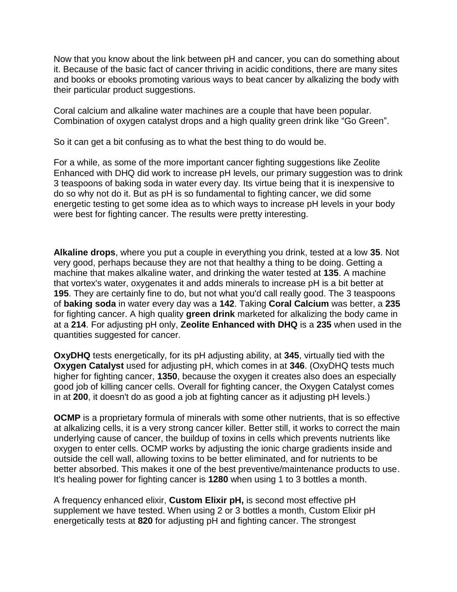Now that you know about the link between pH and cancer, you can do something about it. Because of the basic fact of cancer thriving in acidic conditions, there are many sites and books or ebooks promoting various ways to beat cancer by alkalizing the body with their particular product suggestions.

Coral calcium and alkaline water machines are a couple that have been popular. Combination of oxygen catalyst drops and a high quality green drink like "Go Green".

So it can get a bit confusing as to what the best thing to do would be.

For a while, as some of the more important cancer fighting suggestions like Zeolite Enhanced with DHQ did work to increase pH levels, our primary suggestion was to drink 3 teaspoons of baking soda in water every day. Its virtue being that it is inexpensive to do so why not do it. But as pH is so fundamental to fighting cancer, we did some energetic testing to get some idea as to which ways to increase pH levels in your body were best for fighting cancer. The results were pretty interesting.

**Alkaline drops**, where you put a couple in everything you drink, tested at a low **35**. Not very good, perhaps because they are not that healthy a thing to be doing. Getting a machine that makes alkaline water, and drinking the water tested at **135**. A machine that vortex's water, oxygenates it and adds minerals to increase pH is a bit better at **195**. They are certainly fine to do, but not what you'd call really good. The 3 teaspoons of **baking soda** in water every day was a **142**. Taking **Coral Calcium** was better, a **235**  for fighting cancer. A high quality **green drink** marketed for alkalizing the body came in at a **214**. For adjusting pH only, **Zeolite Enhanced with DHQ** is a **235** when used in the quantities suggested for cancer.

**OxyDHQ** tests energetically, for its pH adjusting ability, at **345**, virtually tied with the **Oxygen Catalyst** used for adjusting pH, which comes in at **346**. (OxyDHQ tests much higher for fighting cancer, **1350**, because the oxygen it creates also does an especially good job of killing cancer cells. Overall for fighting cancer, the Oxygen Catalyst comes in at **200**, it doesn't do as good a job at fighting cancer as it adjusting pH levels.)

**OCMP** is a proprietary formula of minerals with some other nutrients, that is so effective at alkalizing cells, it is a very strong cancer killer. Better still, it works to correct the main underlying cause of cancer, the buildup of toxins in cells which prevents nutrients like oxygen to enter cells. OCMP works by adjusting the ionic charge gradients inside and outside the cell wall, allowing toxins to be better eliminated, and for nutrients to be better absorbed. This makes it one of the best preventive/maintenance products to use. It's healing power for fighting cancer is **1280** when using 1 to 3 bottles a month.

A frequency enhanced elixir, **Custom Elixir pH,** is second most effective pH supplement we have tested. When using 2 or 3 bottles a month, Custom Elixir pH energetically tests at **820** for adjusting pH and fighting cancer. The strongest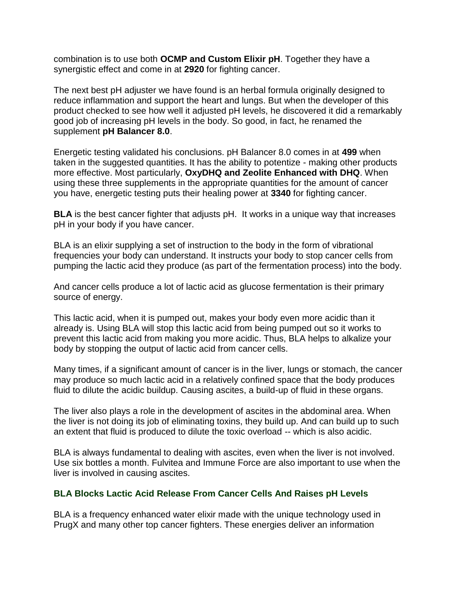combination is to use both **OCMP and Custom Elixir pH**. Together they have a synergistic effect and come in at **2920** for fighting cancer.

The next best pH adjuster we have found is an herbal formula originally designed to reduce inflammation and support the heart and lungs. But when the developer of this product checked to see how well it adjusted pH levels, he discovered it did a remarkably good job of increasing pH levels in the body. So good, in fact, he renamed the supplement **pH Balancer 8.0**.

Energetic testing validated his conclusions. pH Balancer 8.0 comes in at **499** when taken in the suggested quantities. It has the ability to potentize - making other products more effective. Most particularly, **OxyDHQ and Zeolite Enhanced with DHQ**. When using these three supplements in the appropriate quantities for the amount of cancer you have, energetic testing puts their healing power at **3340** for fighting cancer.

**BLA** is the best cancer fighter that adjusts pH. It works in a unique way that increases pH in your body if you have cancer.

BLA is an elixir supplying a set of instruction to the body in the form of vibrational frequencies your body can understand. It instructs your body to stop cancer cells from pumping the lactic acid they produce (as part of the fermentation process) into the body.

And cancer cells produce a lot of lactic acid as glucose fermentation is their primary source of energy.

This lactic acid, when it is pumped out, makes your body even more acidic than it already is. Using BLA will stop this lactic acid from being pumped out so it works to prevent this lactic acid from making you more acidic. Thus, BLA helps to alkalize your body by stopping the output of lactic acid from cancer cells.

Many times, if a significant amount of cancer is in the liver, lungs or stomach, the cancer may produce so much lactic acid in a relatively confined space that the body produces fluid to dilute the acidic buildup. Causing ascites, a build-up of fluid in these organs.

The liver also plays a role in the development of ascites in the abdominal area. When the liver is not doing its job of eliminating toxins, they build up. And can build up to such an extent that fluid is produced to dilute the toxic overload -- which is also acidic.

BLA is always fundamental to dealing with ascites, even when the liver is not involved. Use six bottles a month. Fulvitea and Immune Force are also important to use when the liver is involved in causing ascites.

### **BLA Blocks Lactic Acid Release From Cancer Cells And Raises pH Levels**

BLA is a frequency enhanced water elixir made with the unique technology used in PrugX and many other top cancer fighters. These energies deliver an information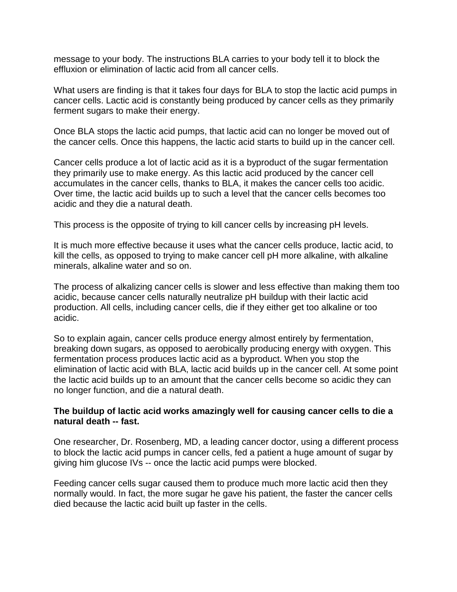message to your body. The instructions BLA carries to your body tell it to block the effluxion or elimination of lactic acid from all cancer cells.

What users are finding is that it takes four days for BLA to stop the lactic acid pumps in cancer cells. Lactic acid is constantly being produced by cancer cells as they primarily ferment sugars to make their energy.

Once BLA stops the lactic acid pumps, that lactic acid can no longer be moved out of the cancer cells. Once this happens, the lactic acid starts to build up in the cancer cell.

Cancer cells produce a lot of lactic acid as it is a byproduct of the sugar fermentation they primarily use to make energy. As this lactic acid produced by the cancer cell accumulates in the cancer cells, thanks to BLA, it makes the cancer cells too acidic. Over time, the lactic acid builds up to such a level that the cancer cells becomes too acidic and they die a natural death.

This process is the opposite of trying to kill cancer cells by increasing pH levels.

It is much more effective because it uses what the cancer cells produce, lactic acid, to kill the cells, as opposed to trying to make cancer cell pH more alkaline, with alkaline minerals, alkaline water and so on.

The process of alkalizing cancer cells is slower and less effective than making them too acidic, because cancer cells naturally neutralize pH buildup with their lactic acid production. All cells, including cancer cells, die if they either get too alkaline or too acidic.

So to explain again, cancer cells produce energy almost entirely by fermentation, breaking down sugars, as opposed to aerobically producing energy with oxygen. This fermentation process produces lactic acid as a byproduct. When you stop the elimination of lactic acid with BLA, lactic acid builds up in the cancer cell. At some point the lactic acid builds up to an amount that the cancer cells become so acidic they can no longer function, and die a natural death.

### **The buildup of lactic acid works amazingly well for causing cancer cells to die a natural death -- fast.**

One researcher, Dr. Rosenberg, MD, a leading cancer doctor, using a different process to block the lactic acid pumps in cancer cells, fed a patient a huge amount of sugar by giving him glucose IVs -- once the lactic acid pumps were blocked.

Feeding cancer cells sugar caused them to produce much more lactic acid then they normally would. In fact, the more sugar he gave his patient, the faster the cancer cells died because the lactic acid built up faster in the cells.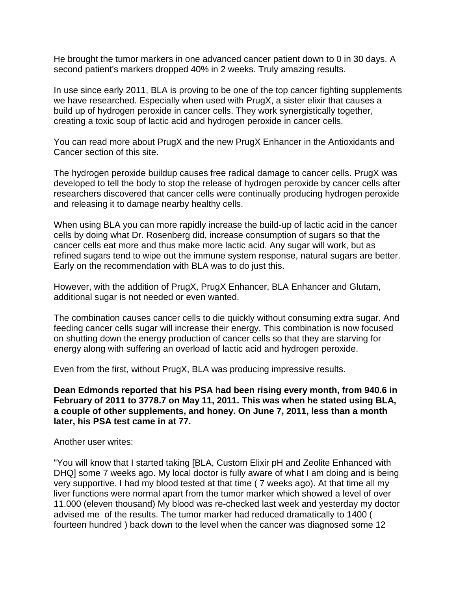He brought the tumor markers in one advanced cancer patient down to 0 in 30 days. A second patient's markers dropped 40% in 2 weeks. Truly amazing results.

In use since early 2011, BLA is proving to be one of the top cancer fighting supplements we have researched. Especially when used with PrugX, a sister elixir that causes a build up of hydrogen peroxide in cancer cells. They work synergistically together, creating a toxic soup of lactic acid and hydrogen peroxide in cancer cells.

You can read more about PrugX and the new PrugX Enhancer in the Antioxidants and Cancer section of this site.

The hydrogen peroxide buildup causes free radical damage to cancer cells. PrugX was developed to tell the body to stop the release of hydrogen peroxide by cancer cells after researchers discovered that cancer cells were continually producing hydrogen peroxide and releasing it to damage nearby healthy cells.

When using BLA you can more rapidly increase the build-up of lactic acid in the cancer cells by doing what Dr. Rosenberg did, increase consumption of sugars so that the cancer cells eat more and thus make more lactic acid. Any sugar will work, but as refined sugars tend to wipe out the immune system response, natural sugars are better. Early on the recommendation with BLA was to do just this.

However, with the addition of PrugX, PrugX Enhancer, BLA Enhancer and Glutam, additional sugar is not needed or even wanted.

The combination causes cancer cells to die quickly without consuming extra sugar. And feeding cancer cells sugar will increase their energy. This combination is now focused on shutting down the energy production of cancer cells so that they are starving for energy along with suffering an overload of lactic acid and hydrogen peroxide.

Even from the first, without PrugX, BLA was producing impressive results.

**Dean Edmonds reported that his PSA had been rising every month, from 940.6 in February of 2011 to 3778.7 on May 11, 2011. This was when he stated using BLA, a couple of other supplements, and honey. On June 7, 2011, less than a month later, his PSA test came in at 77.**

Another user writes:

"You will know that I started taking [BLA, Custom Elixir pH and Zeolite Enhanced with DHQ] some 7 weeks ago. My local doctor is fully aware of what I am doing and is being very supportive. I had my blood tested at that time ( 7 weeks ago). At that time all my liver functions were normal apart from the tumor marker which showed a level of over 11.000 (eleven thousand) My blood was re-checked last week and yesterday my doctor advised me of the results. The tumor marker had reduced dramatically to 1400 ( fourteen hundred ) back down to the level when the cancer was diagnosed some 12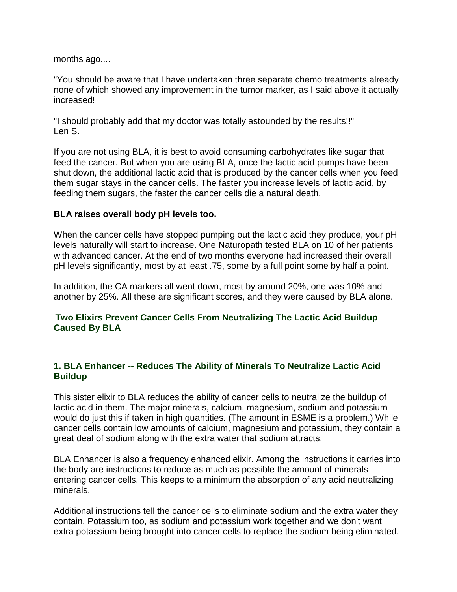months ago....

"You should be aware that I have undertaken three separate chemo treatments already none of which showed any improvement in the tumor marker, as I said above it actually increased!

"I should probably add that my doctor was totally astounded by the results!!" Len S.

If you are not using BLA, it is best to avoid consuming carbohydrates like sugar that feed the cancer. But when you are using BLA, once the lactic acid pumps have been shut down, the additional lactic acid that is produced by the cancer cells when you feed them sugar stays in the cancer cells. The faster you increase levels of lactic acid, by feeding them sugars, the faster the cancer cells die a natural death.

### **BLA raises overall body pH levels too.**

When the cancer cells have stopped pumping out the lactic acid they produce, your pH levels naturally will start to increase. One Naturopath tested BLA on 10 of her patients with advanced cancer. At the end of two months everyone had increased their overall pH levels significantly, most by at least .75, some by a full point some by half a point.

In addition, the CA markers all went down, most by around 20%, one was 10% and another by 25%. All these are significant scores, and they were caused by BLA alone.

## **Two Elixirs Prevent Cancer Cells From Neutralizing The Lactic Acid Buildup Caused By BLA**

# **1. BLA Enhancer -- Reduces The Ability of Minerals To Neutralize Lactic Acid Buildup**

This sister elixir to BLA reduces the ability of cancer cells to neutralize the buildup of lactic acid in them. The major minerals, calcium, magnesium, sodium and potassium would do just this if taken in high quantities. (The amount in ESME is a problem.) While cancer cells contain low amounts of calcium, magnesium and potassium, they contain a great deal of sodium along with the extra water that sodium attracts.

BLA Enhancer is also a frequency enhanced elixir. Among the instructions it carries into the body are instructions to reduce as much as possible the amount of minerals entering cancer cells. This keeps to a minimum the absorption of any acid neutralizing minerals.

Additional instructions tell the cancer cells to eliminate sodium and the extra water they contain. Potassium too, as sodium and potassium work together and we don't want extra potassium being brought into cancer cells to replace the sodium being eliminated.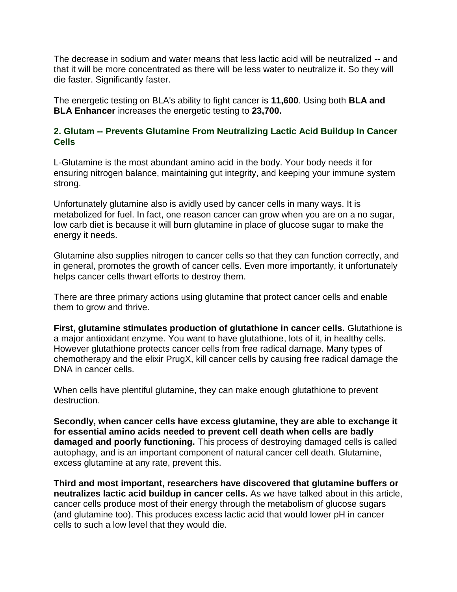The decrease in sodium and water means that less lactic acid will be neutralized -- and that it will be more concentrated as there will be less water to neutralize it. So they will die faster. Significantly faster.

The energetic testing on BLA's ability to fight cancer is **11,600**. Using both **BLA and BLA Enhancer** increases the energetic testing to **23,700.**

### **2. Glutam -- Prevents Glutamine From Neutralizing Lactic Acid Buildup In Cancer Cells**

L-Glutamine is the most abundant amino acid in the body. Your body needs it for ensuring nitrogen balance, maintaining gut integrity, and keeping your immune system strong.

Unfortunately glutamine also is avidly used by cancer cells in many ways. It is metabolized for fuel. In fact, one reason cancer can grow when you are on a no sugar, low carb diet is because it will burn glutamine in place of glucose sugar to make the energy it needs.

Glutamine also supplies nitrogen to cancer cells so that they can function correctly, and in general, promotes the growth of cancer cells. Even more importantly, it unfortunately helps cancer cells thwart efforts to destroy them.

There are three primary actions using glutamine that protect cancer cells and enable them to grow and thrive.

**First, glutamine stimulates production of glutathione in cancer cells.** Glutathione is a major antioxidant enzyme. You want to have glutathione, lots of it, in healthy cells. However glutathione protects cancer cells from free radical damage. Many types of chemotherapy and the elixir PrugX, kill cancer cells by causing free radical damage the DNA in cancer cells.

When cells have plentiful glutamine, they can make enough glutathione to prevent destruction.

**Secondly, when cancer cells have excess glutamine, they are able to exchange it for essential amino acids needed to prevent cell death when cells are badly damaged and poorly functioning.** This process of destroying damaged cells is called autophagy, and is an important component of natural cancer cell death. Glutamine, excess glutamine at any rate, prevent this.

**Third and most important, researchers have discovered that glutamine buffers or neutralizes lactic acid buildup in cancer cells.** As we have talked about in this article, cancer cells produce most of their energy through the metabolism of glucose sugars (and glutamine too). This produces excess lactic acid that would lower pH in cancer cells to such a low level that they would die.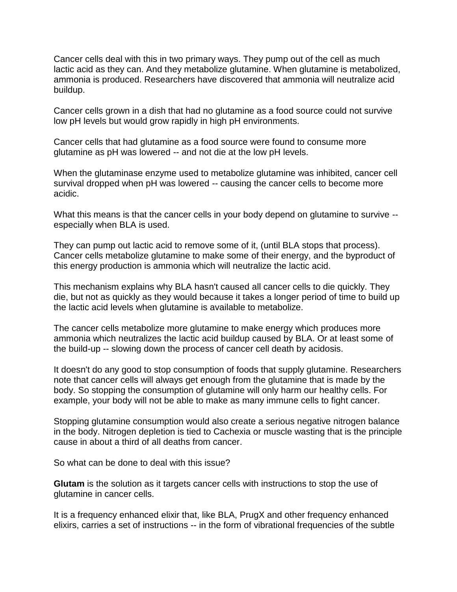Cancer cells deal with this in two primary ways. They pump out of the cell as much lactic acid as they can. And they metabolize glutamine. When glutamine is metabolized, ammonia is produced. Researchers have discovered that ammonia will neutralize acid buildup.

Cancer cells grown in a dish that had no glutamine as a food source could not survive low pH levels but would grow rapidly in high pH environments.

Cancer cells that had glutamine as a food source were found to consume more glutamine as pH was lowered -- and not die at the low pH levels.

When the glutaminase enzyme used to metabolize glutamine was inhibited, cancer cell survival dropped when pH was lowered -- causing the cancer cells to become more acidic.

What this means is that the cancer cells in your body depend on glutamine to survive -especially when BLA is used.

They can pump out lactic acid to remove some of it, (until BLA stops that process). Cancer cells metabolize glutamine to make some of their energy, and the byproduct of this energy production is ammonia which will neutralize the lactic acid.

This mechanism explains why BLA hasn't caused all cancer cells to die quickly. They die, but not as quickly as they would because it takes a longer period of time to build up the lactic acid levels when glutamine is available to metabolize.

The cancer cells metabolize more glutamine to make energy which produces more ammonia which neutralizes the lactic acid buildup caused by BLA. Or at least some of the build-up -- slowing down the process of cancer cell death by acidosis.

It doesn't do any good to stop consumption of foods that supply glutamine. Researchers note that cancer cells will always get enough from the glutamine that is made by the body. So stopping the consumption of glutamine will only harm our healthy cells. For example, your body will not be able to make as many immune cells to fight cancer.

Stopping glutamine consumption would also create a serious negative nitrogen balance in the body. Nitrogen depletion is tied to Cachexia or muscle wasting that is the principle cause in about a third of all deaths from cancer.

So what can be done to deal with this issue?

**Glutam** is the solution as it targets cancer cells with instructions to stop the use of glutamine in cancer cells.

It is a frequency enhanced elixir that, like BLA, PrugX and other frequency enhanced elixirs, carries a set of instructions -- in the form of vibrational frequencies of the subtle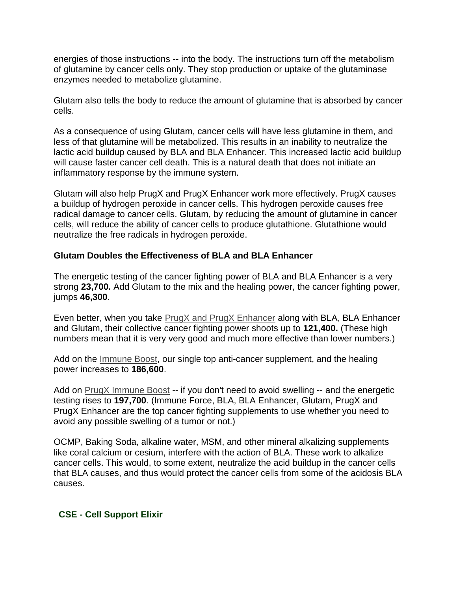energies of those instructions -- into the body. The instructions turn off the metabolism of glutamine by cancer cells only. They stop production or uptake of the glutaminase enzymes needed to metabolize glutamine.

Glutam also tells the body to reduce the amount of glutamine that is absorbed by cancer cells.

As a consequence of using Glutam, cancer cells will have less glutamine in them, and less of that glutamine will be metabolized. This results in an inability to neutralize the lactic acid buildup caused by BLA and BLA Enhancer. This increased lactic acid buildup will cause faster cancer cell death. This is a natural death that does not initiate an inflammatory response by the immune system.

Glutam will also help PrugX and PrugX Enhancer work more effectively. PrugX causes a buildup of hydrogen peroxide in cancer cells. This hydrogen peroxide causes free radical damage to cancer cells. Glutam, by reducing the amount of glutamine in cancer cells, will reduce the ability of cancer cells to produce glutathione. Glutathione would neutralize the free radicals in hydrogen peroxide.

## **Glutam Doubles the Effectiveness of BLA and BLA Enhancer**

The energetic testing of the cancer fighting power of BLA and BLA Enhancer is a very strong **23,700.** Add Glutam to the mix and the healing power, the cancer fighting power, jumps **46,300**.

Even better, when you take [PrugX and PrugX Enhancer](http://www.cancerfightingstrategies.com/antioxidants-for-cancer.html#prugx) along with BLA, BLA Enhancer and Glutam, their collective cancer fighting power shoots up to **121,400.** (These high numbers mean that it is very very good and much more effective than lower numbers.)

Add on the [Immune Boost,](http://www.cancerfightingstrategies.com/immune-system-and-cancer.html#immuneforce) our single top anti-cancer supplement, and the healing power increases to **186,600**.

Add on [PrugX Immune Boost](http://www.cancerfightingstrategies.com/immune-system-and-cancer.html#prugximmune) -- if you don't need to avoid swelling -- and the energetic testing rises to **197,700**. (Immune Force, BLA, BLA Enhancer, Glutam, PrugX and PrugX Enhancer are the top cancer fighting supplements to use whether you need to avoid any possible swelling of a tumor or not.)

OCMP, Baking Soda, alkaline water, MSM, and other mineral alkalizing supplements like coral calcium or cesium, interfere with the action of BLA. These work to alkalize cancer cells. This would, to some extent, neutralize the acid buildup in the cancer cells that BLA causes, and thus would protect the cancer cells from some of the acidosis BLA causes.

### **CSE - Cell Support Elixir**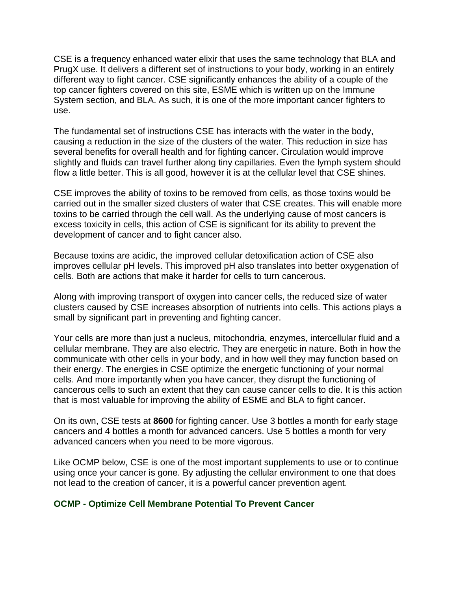CSE is a frequency enhanced water elixir that uses the same technology that BLA and PrugX use. It delivers a different set of instructions to your body, working in an entirely different way to fight cancer. CSE significantly enhances the ability of a couple of the top cancer fighters covered on this site, ESME which is written up on the Immune System section, and BLA. As such, it is one of the more important cancer fighters to use.

The fundamental set of instructions CSE has interacts with the water in the body, causing a reduction in the size of the clusters of the water. This reduction in size has several benefits for overall health and for fighting cancer. Circulation would improve slightly and fluids can travel further along tiny capillaries. Even the lymph system should flow a little better. This is all good, however it is at the cellular level that CSE shines.

CSE improves the ability of toxins to be removed from cells, as those toxins would be carried out in the smaller sized clusters of water that CSE creates. This will enable more toxins to be carried through the cell wall. As the underlying cause of most cancers is excess toxicity in cells, this action of CSE is significant for its ability to prevent the development of cancer and to fight cancer also.

Because toxins are acidic, the improved cellular detoxification action of CSE also improves cellular pH levels. This improved pH also translates into better oxygenation of cells. Both are actions that make it harder for cells to turn cancerous.

Along with improving transport of oxygen into cancer cells, the reduced size of water clusters caused by CSE increases absorption of nutrients into cells. This actions plays a small by significant part in preventing and fighting cancer.

Your cells are more than just a nucleus, mitochondria, enzymes, intercellular fluid and a cellular membrane. They are also electric. They are energetic in nature. Both in how the communicate with other cells in your body, and in how well they may function based on their energy. The energies in CSE optimize the energetic functioning of your normal cells. And more importantly when you have cancer, they disrupt the functioning of cancerous cells to such an extent that they can cause cancer cells to die. It is this action that is most valuable for improving the ability of ESME and BLA to fight cancer.

On its own, CSE tests at **8600** for fighting cancer. Use 3 bottles a month for early stage cancers and 4 bottles a month for advanced cancers. Use 5 bottles a month for very advanced cancers when you need to be more vigorous.

Like OCMP below, CSE is one of the most important supplements to use or to continue using once your cancer is gone. By adjusting the cellular environment to one that does not lead to the creation of cancer, it is a powerful cancer prevention agent.

### **OCMP - Optimize Cell Membrane Potential To Prevent Cancer**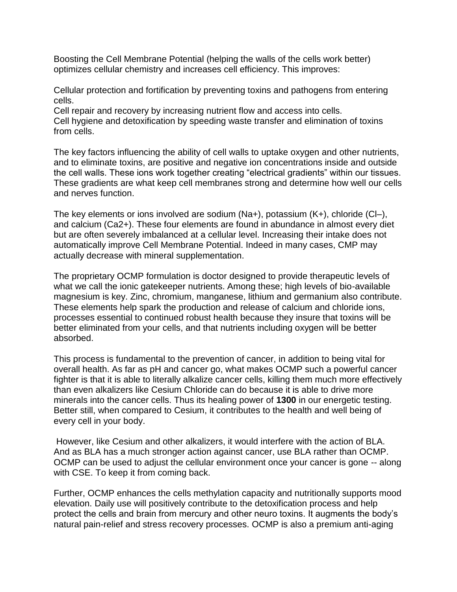Boosting the Cell Membrane Potential (helping the walls of the cells work better) optimizes cellular chemistry and increases cell efficiency. This improves:

Cellular protection and fortification by preventing toxins and pathogens from entering cells.

Cell repair and recovery by increasing nutrient flow and access into cells. Cell hygiene and detoxification by speeding waste transfer and elimination of toxins from cells.

The key factors influencing the ability of cell walls to uptake oxygen and other nutrients, and to eliminate toxins, are positive and negative ion concentrations inside and outside the cell walls. These ions work together creating "electrical gradients" within our tissues. These gradients are what keep cell membranes strong and determine how well our cells and nerves function.

The key elements or ions involved are sodium  $(Na+)$ , potassium  $(K+)$ , chloride  $(C|-)$ , and calcium (Ca2+). These four elements are found in abundance in almost every diet but are often severely imbalanced at a cellular level. Increasing their intake does not automatically improve Cell Membrane Potential. Indeed in many cases, CMP may actually decrease with mineral supplementation.

The proprietary OCMP formulation is doctor designed to provide therapeutic levels of what we call the ionic gatekeeper nutrients. Among these; high levels of bio-available magnesium is key. Zinc, chromium, manganese, lithium and germanium also contribute. These elements help spark the production and release of calcium and chloride ions, processes essential to continued robust health because they insure that toxins will be better eliminated from your cells, and that nutrients including oxygen will be better absorbed.

This process is fundamental to the prevention of cancer, in addition to being vital for overall health. As far as pH and cancer go, what makes OCMP such a powerful cancer fighter is that it is able to literally alkalize cancer cells, killing them much more effectively than even alkalizers like Cesium Chloride can do because it is able to drive more minerals into the cancer cells. Thus its healing power of **1300** in our energetic testing. Better still, when compared to Cesium, it contributes to the health and well being of every cell in your body.

However, like Cesium and other alkalizers, it would interfere with the action of BLA. And as BLA has a much stronger action against cancer, use BLA rather than OCMP. OCMP can be used to adjust the cellular environment once your cancer is gone -- along with CSE. To keep it from coming back.

Further, OCMP enhances the cells methylation capacity and nutritionally supports mood elevation. Daily use will positively contribute to the detoxification process and help protect the cells and brain from mercury and other neuro toxins. It augments the body's natural pain-relief and stress recovery processes. OCMP is also a premium anti-aging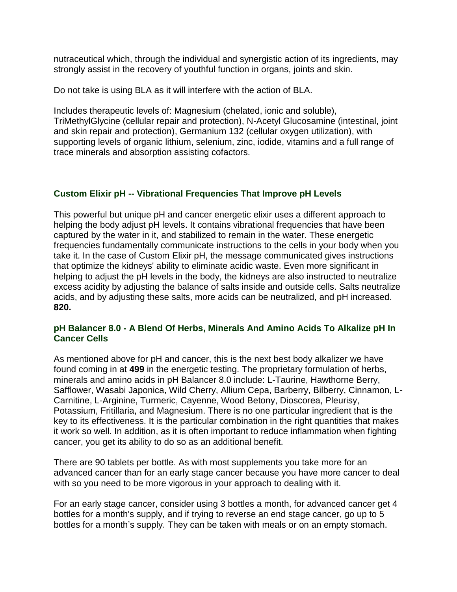nutraceutical which, through the individual and synergistic action of its ingredients, may strongly assist in the recovery of youthful function in organs, joints and skin.

Do not take is using BLA as it will interfere with the action of BLA.

Includes therapeutic levels of: Magnesium (chelated, ionic and soluble), TriMethylGlycine (cellular repair and protection), N-Acetyl Glucosamine (intestinal, joint and skin repair and protection), Germanium 132 (cellular oxygen utilization), with supporting levels of organic lithium, selenium, zinc, iodide, vitamins and a full range of trace minerals and absorption assisting cofactors.

# **Custom Elixir pH -- Vibrational Frequencies That Improve pH Levels**

This powerful but unique pH and cancer energetic elixir uses a different approach to helping the body adjust pH levels. It contains vibrational frequencies that have been captured by the water in it, and stabilized to remain in the water. These energetic frequencies fundamentally communicate instructions to the cells in your body when you take it. In the case of Custom Elixir pH, the message communicated gives instructions that optimize the kidneys' ability to eliminate acidic waste. Even more significant in helping to adjust the pH levels in the body, the kidneys are also instructed to neutralize excess acidity by adjusting the balance of salts inside and outside cells. Salts neutralize acids, and by adjusting these salts, more acids can be neutralized, and pH increased. **820.** 

### **pH Balancer 8.0 - A Blend Of Herbs, Minerals And Amino Acids To Alkalize pH In Cancer Cells**

As mentioned above for pH and cancer, this is the next best body alkalizer we have found coming in at **499** in the energetic testing. The proprietary formulation of herbs, minerals and amino acids in pH Balancer 8.0 include: L-Taurine, Hawthorne Berry, Safflower, Wasabi Japonica, Wild Cherry, Allium Cepa, Barberry, Bilberry, Cinnamon, L-Carnitine, L-Arginine, Turmeric, Cayenne, Wood Betony, Dioscorea, Pleurisy, Potassium, Fritillaria, and Magnesium. There is no one particular ingredient that is the key to its effectiveness. It is the particular combination in the right quantities that makes it work so well. In addition, as it is often important to reduce inflammation when fighting cancer, you get its ability to do so as an additional benefit.

There are 90 tablets per bottle. As with most supplements you take more for an advanced cancer than for an early stage cancer because you have more cancer to deal with so you need to be more vigorous in your approach to dealing with it.

For an early stage cancer, consider using 3 bottles a month, for advanced cancer get 4 bottles for a month's supply, and if trying to reverse an end stage cancer, go up to 5 bottles for a month's supply. They can be taken with meals or on an empty stomach.